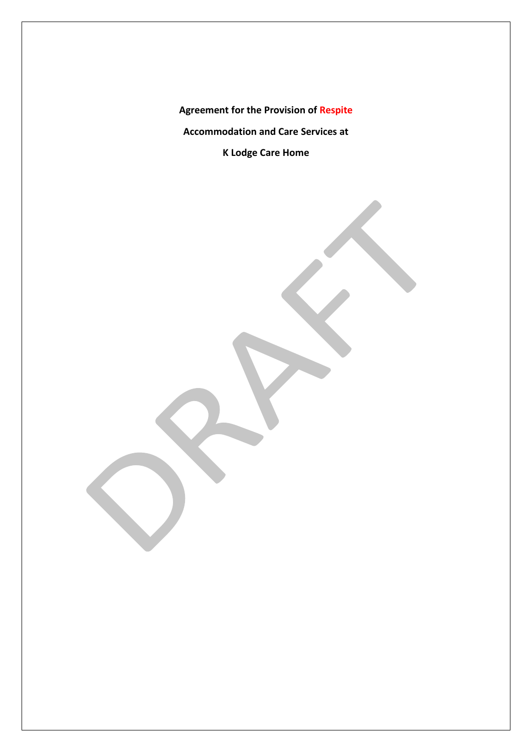**Agreement for the Provision of Respite Accommodation and Care Services at K Lodge Care Home**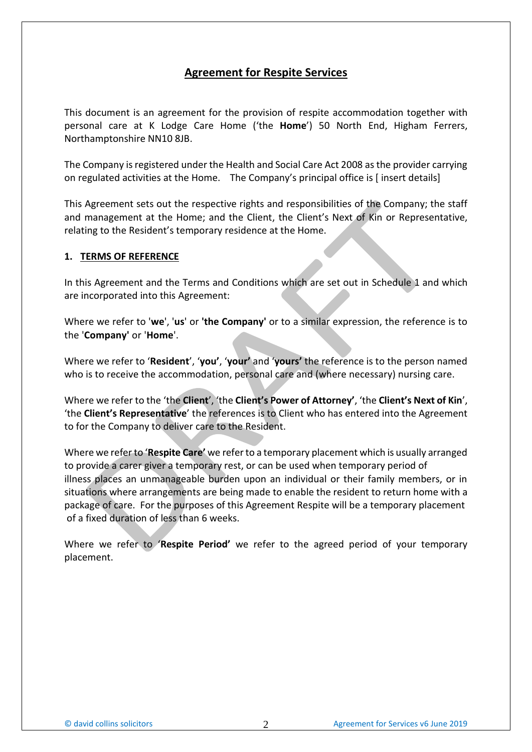# **Agreement for Respite Services**

This document is an agreement for the provision of respite accommodation together with personal care at K Lodge Care Home ('the **Home**') 50 North End, Higham Ferrers, Northamptonshire NN10 8JB.

The Company is registered under the Health and Social Care Act 2008 as the provider carrying on regulated activities at the Home. The Company's principal office is [ insert details]

This Agreement sets out the respective rights and responsibilities of the Company; the staff and management at the Home; and the Client, the Client's Next of Kin or Representative, relating to the Resident's temporary residence at the Home.

### **1. TERMS OF REFERENCE**

In this Agreement and the Terms and Conditions which are set out in Schedule 1 and which are incorporated into this Agreement:

Where we refer to '**we**', '**us**' or **'the Company'** or to a similar expression, the reference is to the '**Company'** or '**Home**'.

Where we refer to '**Resident**', '**you'**, '**your'** and '**yours'** the reference is to the person named who is to receive the accommodation, personal care and (where necessary) nursing care.

Where we refer to the 'the **Client**', 'the **Client's Power of Attorney'**, 'the **Client's Next of Kin**', 'the **Client's Representative**' the references is to Client who has entered into the Agreement to for the Company to deliver care to the Resident.

Where we refer to '**Respite Care'** we refer to a temporary placement which is usually arranged to provide a carer giver a temporary rest, or can be used when temporary period of illness places an unmanageable burden upon an individual or their family members, or in situations where arrangements are being made to enable the resident to return home with a package of care. For the purposes of this Agreement Respite will be a temporary placement of a fixed duration of less than 6 weeks.

Where we refer to '**Respite Period'** we refer to the agreed period of your temporary placement.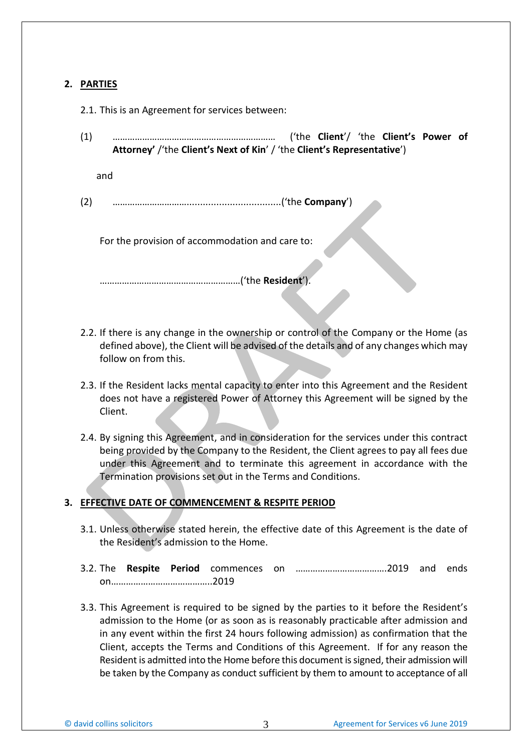## **2. PARTIES**

- 2.1. This is an Agreement for services between:
- (1) ………………………………………………………… ('the **Client**'/ 'the **Client's Power of Attorney'** /'the **Client's Next of Kin**' / 'the **Client's Representative**')

and

(2) …………………………...................................('the **Company**')

For the provision of accommodation and care to:

…………………………………………………('the **Resident**').

- 2.2. If there is any change in the ownership or control of the Company or the Home (as defined above), the Client will be advised of the details and of any changes which may follow on from this.
- 2.3. If the Resident lacks mental capacity to enter into this Agreement and the Resident does not have a registered Power of Attorney this Agreement will be signed by the Client.
- 2.4. By signing this Agreement, and in consideration for the services under this contract being provided by the Company to the Resident, the Client agrees to pay all fees due under this Agreement and to terminate this agreement in accordance with the Termination provisions set out in the Terms and Conditions.

## **3. EFFECTIVE DATE OF COMMENCEMENT & RESPITE PERIOD**

- 3.1. Unless otherwise stated herein, the effective date of this Agreement is the date of the Resident's admission to the Home.
- 3.2. The **Respite Period** commences on ……………………………….2019 and ends on…………………………………..2019
- 3.3. This Agreement is required to be signed by the parties to it before the Resident's admission to the Home (or as soon as is reasonably practicable after admission and in any event within the first 24 hours following admission) as confirmation that the Client, accepts the Terms and Conditions of this Agreement. If for any reason the Resident is admitted into the Home before this document is signed, their admission will be taken by the Company as conduct sufficient by them to amount to acceptance of all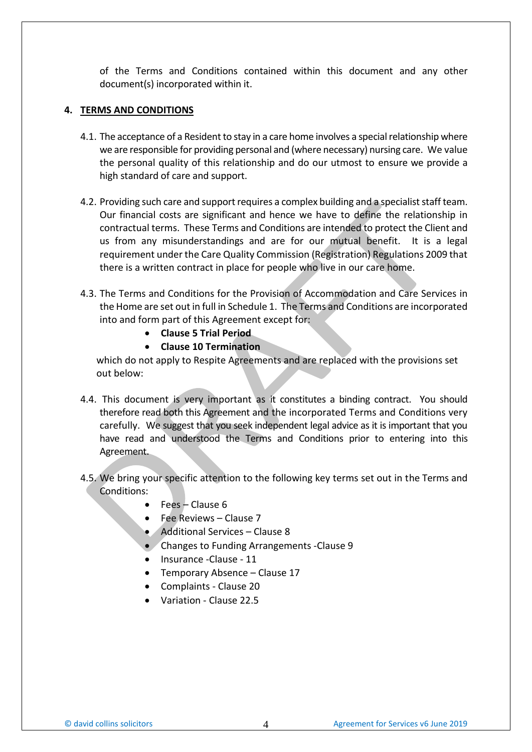of the Terms and Conditions contained within this document and any other document(s) incorporated within it.

### **4. TERMS AND CONDITIONS**

- 4.1. The acceptance of a Resident to stay in a care home involves a special relationship where we are responsible for providing personal and (where necessary) nursing care. We value the personal quality of this relationship and do our utmost to ensure we provide a high standard of care and support.
- 4.2. Providing such care and support requires a complex building and a specialist staff team. Our financial costs are significant and hence we have to define the relationship in contractual terms. These Terms and Conditions are intended to protect the Client and us from any misunderstandings and are for our mutual benefit. It is a legal requirement under the Care Quality Commission (Registration) Regulations 2009 that there is a written contract in place for people who live in our care home.
- 4.3. The Terms and Conditions for the Provision of Accommodation and Care Services in the Home are set out in full in Schedule 1. The Terms and Conditions are incorporated into and form part of this Agreement except for:
	- **Clause 5 Trial Period**
	- **Clause 10 Termination**

which do not apply to Respite Agreements and are replaced with the provisions set out below:

- 4.4. This document is very important as it constitutes a binding contract. You should therefore read both this Agreement and the incorporated Terms and Conditions very carefully. We suggest that you seek independent legal advice as it is important that you have read and understood the Terms and Conditions prior to entering into this Agreement.
- 4.5. We bring your specific attention to the following key terms set out in the Terms and Conditions:
	- Fees Clause 6
	- Fee Reviews Clause 7
	- Additional Services Clause 8
	- Changes to Funding Arrangements -Clause 9
	- Insurance -Clause 11
	- Temporary Absence Clause 17
	- Complaints Clause 20
	- Variation Clause 22.5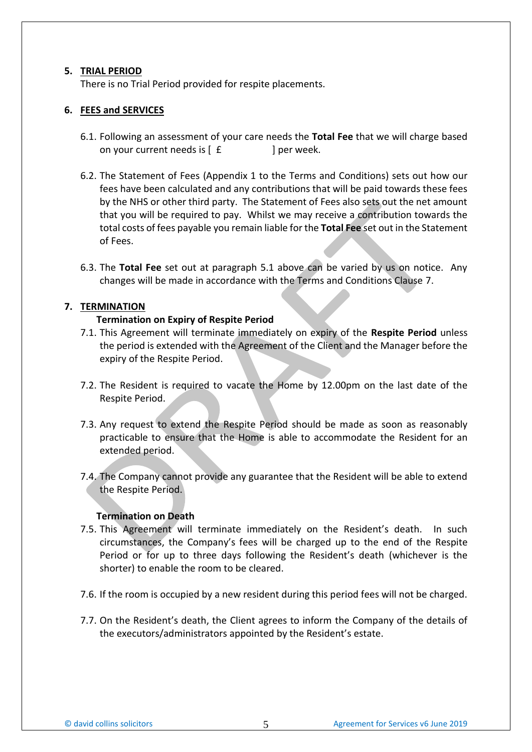### **5. TRIAL PERIOD**

There is no Trial Period provided for respite placements.

### **6. FEES and SERVICES**

- 6.1. Following an assessment of your care needs the **Total Fee** that we will charge based on your current needs is  $\left[ \begin{array}{ccc} f & \cdot & \cdot \\ \end{array} \right]$  per week.
- 6.2. The Statement of Fees (Appendix 1 to the Terms and Conditions) sets out how our fees have been calculated and any contributions that will be paid towards these fees by the NHS or other third party. The Statement of Fees also sets out the net amount that you will be required to pay. Whilst we may receive a contribution towards the total costs of fees payable you remain liable for the **Total Fee** set out in the Statement of Fees.
- 6.3. The **Total Fee** set out at paragraph 5.1 above can be varied by us on notice. Any changes will be made in accordance with the Terms and Conditions Clause 7.

### **7. TERMINATION**

### **Termination on Expiry of Respite Period**

- 7.1. This Agreement will terminate immediately on expiry of the **Respite Period** unless the period is extended with the Agreement of the Client and the Manager before the expiry of the Respite Period.
- 7.2. The Resident is required to vacate the Home by 12.00pm on the last date of the Respite Period.
- 7.3. Any request to extend the Respite Period should be made as soon as reasonably practicable to ensure that the Home is able to accommodate the Resident for an extended period.
- 7.4. The Company cannot provide any guarantee that the Resident will be able to extend the Respite Period.

### **Termination on Death**

- 7.5. This Agreement will terminate immediately on the Resident's death. In such circumstances, the Company's fees will be charged up to the end of the Respite Period or for up to three days following the Resident's death (whichever is the shorter) to enable the room to be cleared.
- 7.6. If the room is occupied by a new resident during this period fees will not be charged.
- 7.7. On the Resident's death, the Client agrees to inform the Company of the details of the executors/administrators appointed by the Resident's estate.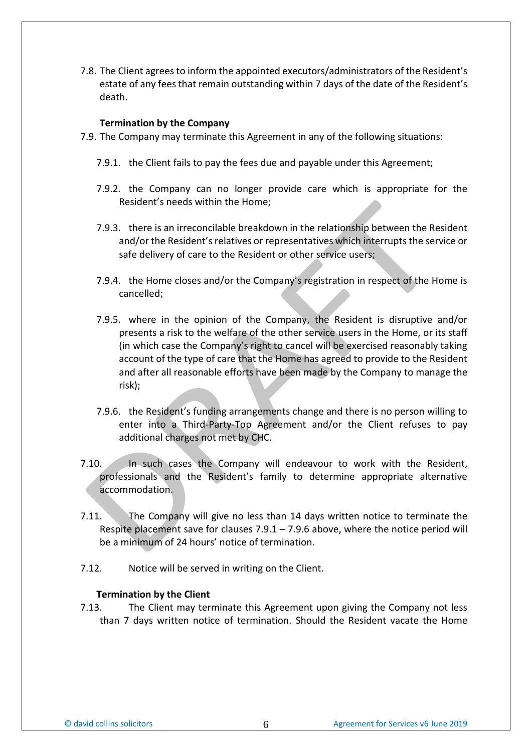7.8. The Client agrees to inform the appointed executors/administrators of the Resident's estate of any fees that remain outstanding within 7 days of the date of the Resident's death.

#### **Termination by the Company**

- 7.9. The Company may terminate this Agreement in any of the following situations:
	- 7.9.1. the Client fails to pay the fees due and payable under this Agreement;
	- 7.9.2. the Company can no longer provide care which is appropriate for the Resident's needs within the Home;
	- 7.9.3. there is an irreconcilable breakdown in the relationship between the Resident and/or the Resident's relatives or representatives which interrupts the service or safe delivery of care to the Resident or other service users;
	- 7.9.4. the Home closes and/or the Company's registration in respect of the Home is cancelled;
	- 7.9.5. where in the opinion of the Company, the Resident is disruptive and/or presents a risk to the welfare of the other service users in the Home, or its staff (in which case the Company's right to cancel will be exercised reasonably taking account of the type of care that the Home has agreed to provide to the Resident and after all reasonable efforts have been made by the Company to manage the risk);
	- 7.9.6. the Resident's funding arrangements change and there is no person willing to enter into a Third-Party-Top Agreement and/or the Client refuses to pay additional charges not met by CHC.
- 7.10. In such cases the Company will endeavour to work with the Resident, professionals and the Resident's family to determine appropriate alternative accommodation.
- 7.11. The Company will give no less than 14 days written notice to terminate the Respite placement save for clauses 7.9.1 – 7.9.6 above, where the notice period will be a minimum of 24 hours' notice of termination.
- 7.12. Notice will be served in writing on the Client.

#### **Termination by the Client**

7.13. The Client may terminate this Agreement upon giving the Company not less than 7 days written notice of termination. Should the Resident vacate the Home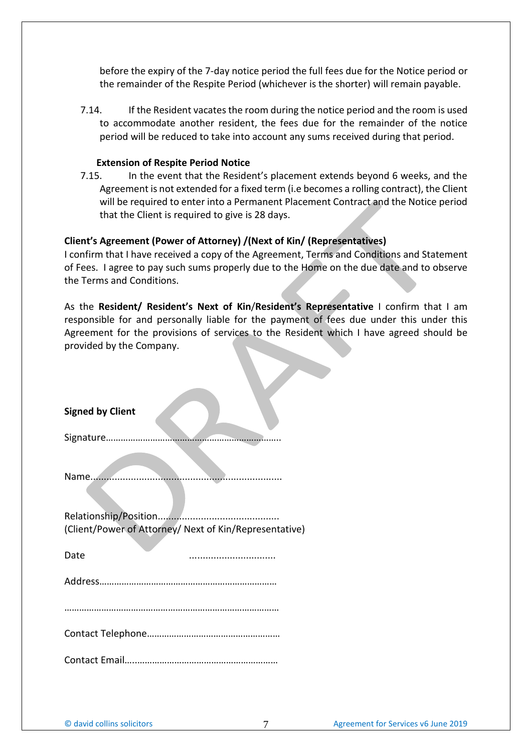before the expiry of the 7-day notice period the full fees due for the Notice period or the remainder of the Respite Period (whichever is the shorter) will remain payable.

7.14. If the Resident vacates the room during the notice period and the room is used to accommodate another resident, the fees due for the remainder of the notice period will be reduced to take into account any sums received during that period.

#### **Extension of Respite Period Notice**

7.15. In the event that the Resident's placement extends beyond 6 weeks, and the Agreement is not extended for a fixed term (i.e becomes a rolling contract), the Client will be required to enter into a Permanent Placement Contract and the Notice period that the Client is required to give is 28 days.

### **Client's Agreement (Power of Attorney) /(Next of Kin/ (Representatives)**

I confirm that I have received a copy of the Agreement, Terms and Conditions and Statement of Fees. I agree to pay such sums properly due to the Home on the due date and to observe the Terms and Conditions.

As the **Resident/ Resident's Next of Kin**/**Resident's Representative** I confirm that I am responsible for and personally liable for the payment of fees due under this under this Agreement for the provisions of services to the Resident which I have agreed should be provided by the Company.

| <b>Signed by Client</b>                                |
|--------------------------------------------------------|
|                                                        |
|                                                        |
| (Client/Power of Attorney/ Next of Kin/Representative) |
| Date                                                   |
|                                                        |
|                                                        |
|                                                        |
|                                                        |